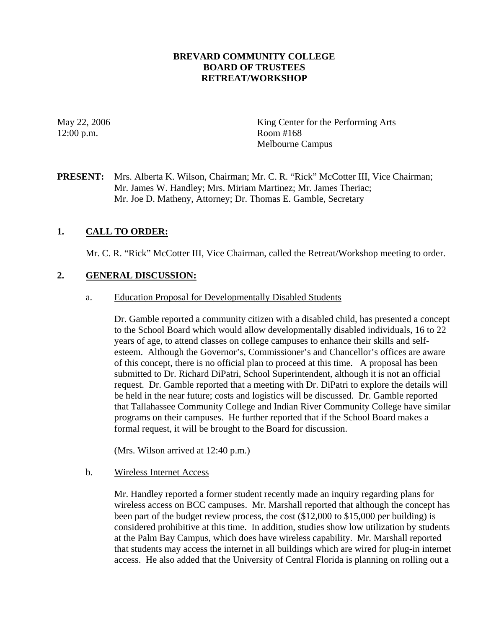#### **BREVARD COMMUNITY COLLEGE BOARD OF TRUSTEES RETREAT/WORKSHOP**

12:00 p.m. Room #168

May 22, 2006 King Center for the Performing Arts Melbourne Campus

**PRESENT:** Mrs. Alberta K. Wilson, Chairman; Mr. C. R. "Rick" McCotter III, Vice Chairman; Mr. James W. Handley; Mrs. Miriam Martinez; Mr. James Theriac; Mr. Joe D. Matheny, Attorney; Dr. Thomas E. Gamble, Secretary

## **1. CALL TO ORDER:**

Mr. C. R. "Rick" McCotter III, Vice Chairman, called the Retreat/Workshop meeting to order.

#### **2. GENERAL DISCUSSION:**

#### a. Education Proposal for Developmentally Disabled Students

Dr. Gamble reported a community citizen with a disabled child, has presented a concept to the School Board which would allow developmentally disabled individuals, 16 to 22 years of age, to attend classes on college campuses to enhance their skills and selfesteem. Although the Governor's, Commissioner's and Chancellor's offices are aware of this concept, there is no official plan to proceed at this time. A proposal has been submitted to Dr. Richard DiPatri, School Superintendent, although it is not an official request. Dr. Gamble reported that a meeting with Dr. DiPatri to explore the details will be held in the near future; costs and logistics will be discussed. Dr. Gamble reported that Tallahassee Community College and Indian River Community College have similar programs on their campuses. He further reported that if the School Board makes a formal request, it will be brought to the Board for discussion.

(Mrs. Wilson arrived at 12:40 p.m.)

#### b. Wireless Internet Access

Mr. Handley reported a former student recently made an inquiry regarding plans for wireless access on BCC campuses. Mr. Marshall reported that although the concept has been part of the budget review process, the cost (\$12,000 to \$15,000 per building) is considered prohibitive at this time. In addition, studies show low utilization by students at the Palm Bay Campus, which does have wireless capability. Mr. Marshall reported that students may access the internet in all buildings which are wired for plug-in internet access. He also added that the University of Central Florida is planning on rolling out a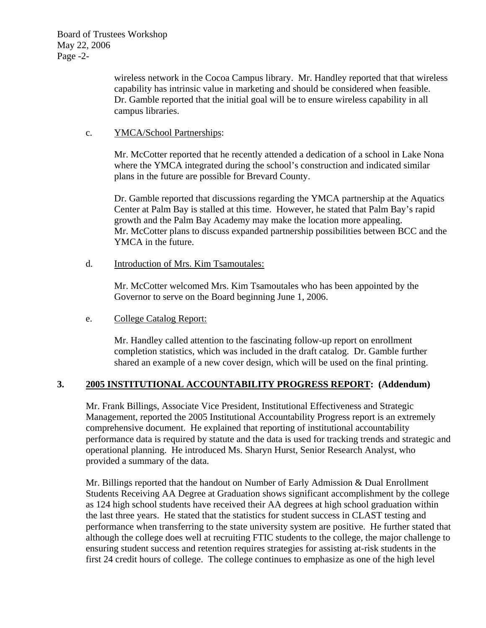wireless network in the Cocoa Campus library. Mr. Handley reported that that wireless capability has intrinsic value in marketing and should be considered when feasible. Dr. Gamble reported that the initial goal will be to ensure wireless capability in all campus libraries.

#### c. YMCA/School Partnerships:

Mr. McCotter reported that he recently attended a dedication of a school in Lake Nona where the YMCA integrated during the school's construction and indicated similar plans in the future are possible for Brevard County.

Dr. Gamble reported that discussions regarding the YMCA partnership at the Aquatics Center at Palm Bay is stalled at this time. However, he stated that Palm Bay's rapid growth and the Palm Bay Academy may make the location more appealing. Mr. McCotter plans to discuss expanded partnership possibilities between BCC and the YMCA in the future.

d. Introduction of Mrs. Kim Tsamoutales:

Mr. McCotter welcomed Mrs. Kim Tsamoutales who has been appointed by the Governor to serve on the Board beginning June 1, 2006.

## e. College Catalog Report:

Mr. Handley called attention to the fascinating follow-up report on enrollment completion statistics, which was included in the draft catalog. Dr. Gamble further shared an example of a new cover design, which will be used on the final printing.

## **3. 2005 INSTITUTIONAL ACCOUNTABILITY PROGRESS REPORT: (Addendum)**

Mr. Frank Billings, Associate Vice President, Institutional Effectiveness and Strategic Management, reported the 2005 Institutional Accountability Progress report is an extremely comprehensive document. He explained that reporting of institutional accountability performance data is required by statute and the data is used for tracking trends and strategic and operational planning. He introduced Ms. Sharyn Hurst, Senior Research Analyst, who provided a summary of the data.

Mr. Billings reported that the handout on Number of Early Admission & Dual Enrollment Students Receiving AA Degree at Graduation shows significant accomplishment by the college as 124 high school students have received their AA degrees at high school graduation within the last three years. He stated that the statistics for student success in CLAST testing and performance when transferring to the state university system are positive. He further stated that although the college does well at recruiting FTIC students to the college, the major challenge to ensuring student success and retention requires strategies for assisting at-risk students in the first 24 credit hours of college. The college continues to emphasize as one of the high level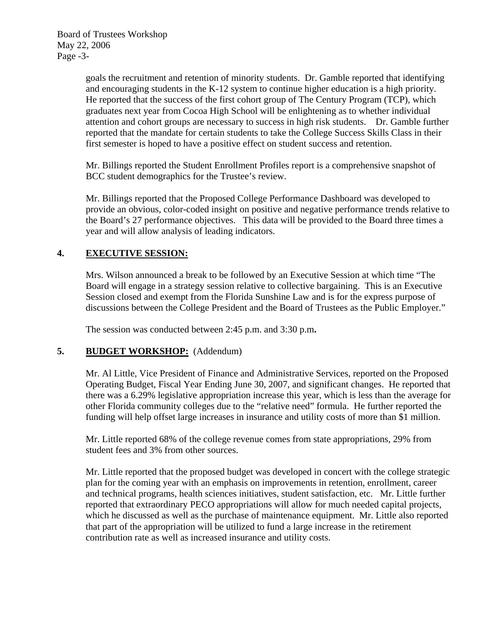Board of Trustees Workshop May 22, 2006 Page -3-

> goals the recruitment and retention of minority students. Dr. Gamble reported that identifying and encouraging students in the K-12 system to continue higher education is a high priority. He reported that the success of the first cohort group of The Century Program (TCP), which graduates next year from Cocoa High School will be enlightening as to whether individual attention and cohort groups are necessary to success in high risk students. Dr. Gamble further reported that the mandate for certain students to take the College Success Skills Class in their first semester is hoped to have a positive effect on student success and retention.

Mr. Billings reported the Student Enrollment Profiles report is a comprehensive snapshot of BCC student demographics for the Trustee's review.

Mr. Billings reported that the Proposed College Performance Dashboard was developed to provide an obvious, color-coded insight on positive and negative performance trends relative to the Board's 27 performance objectives. This data will be provided to the Board three times a year and will allow analysis of leading indicators.

## **4. EXECUTIVE SESSION:**

Mrs. Wilson announced a break to be followed by an Executive Session at which time "The Board will engage in a strategy session relative to collective bargaining. This is an Executive Session closed and exempt from the Florida Sunshine Law and is for the express purpose of discussions between the College President and the Board of Trustees as the Public Employer."

The session was conducted between 2:45 p.m. and 3:30 p.m**.** 

## **5. BUDGET WORKSHOP:** (Addendum)

Mr. Al Little, Vice President of Finance and Administrative Services, reported on the Proposed Operating Budget, Fiscal Year Ending June 30, 2007, and significant changes. He reported that there was a 6.29% legislative appropriation increase this year, which is less than the average for other Florida community colleges due to the "relative need" formula. He further reported the funding will help offset large increases in insurance and utility costs of more than \$1 million.

Mr. Little reported 68% of the college revenue comes from state appropriations, 29% from student fees and 3% from other sources.

Mr. Little reported that the proposed budget was developed in concert with the college strategic plan for the coming year with an emphasis on improvements in retention, enrollment, career and technical programs, health sciences initiatives, student satisfaction, etc. Mr. Little further reported that extraordinary PECO appropriations will allow for much needed capital projects, which he discussed as well as the purchase of maintenance equipment. Mr. Little also reported that part of the appropriation will be utilized to fund a large increase in the retirement contribution rate as well as increased insurance and utility costs.